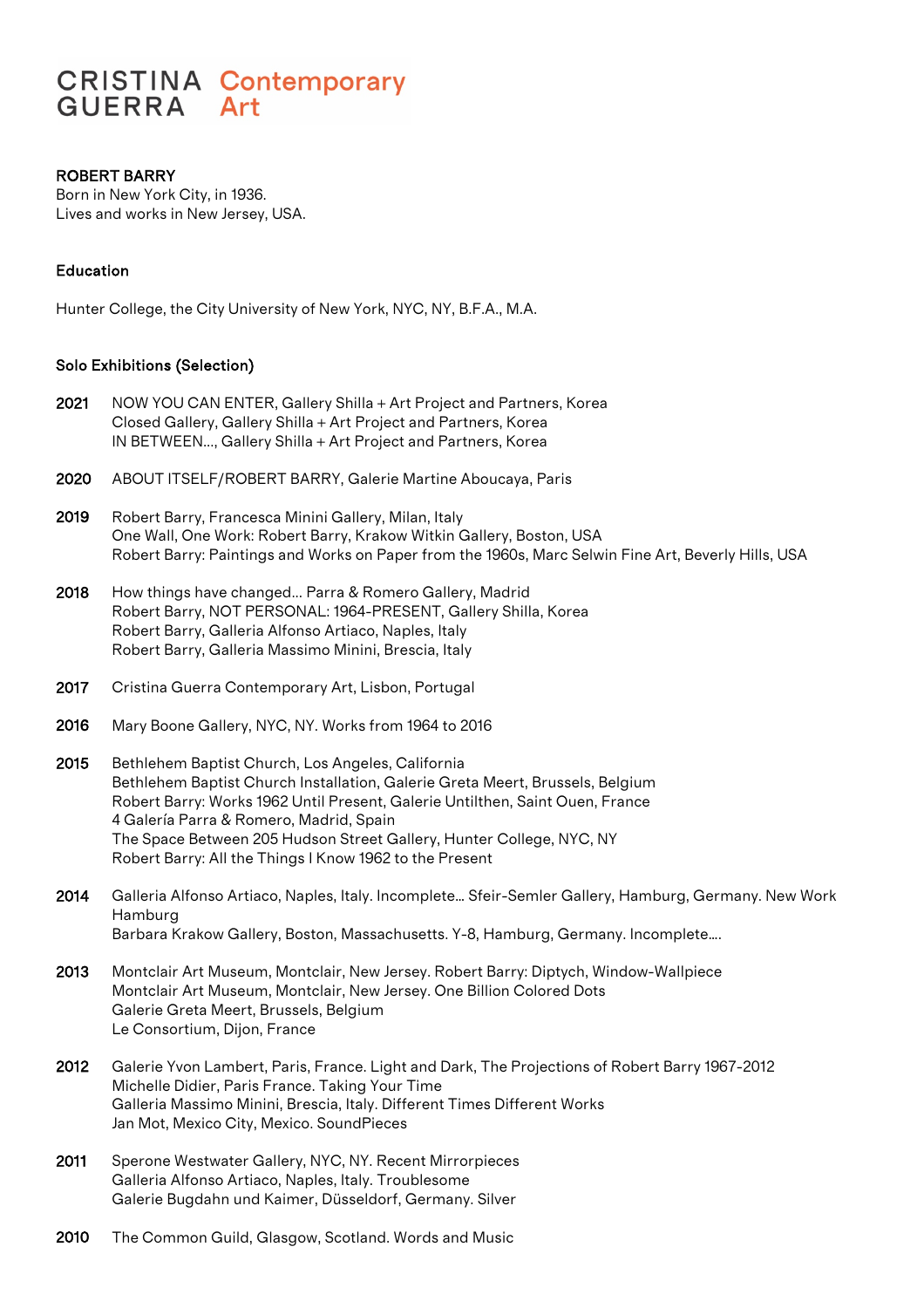# **CRISTINA Contemporary GUERRA** Art

## ROBERT BARRY

Born in New York City, in 1936. Lives and works in New Jersey, USA.

## Education

Hunter College, the City University of New York, NYC, NY, B.F.A., M.A.

#### Solo Exhibitions (Selection)

- 2021 NOW YOU CAN ENTER, Gallery Shilla + Art Project and Partners, Korea Closed Gallery, Gallery Shilla + Art Project and Partners, Korea IN BETWEEN..., Gallery Shilla + Art Project and Partners, Korea
- 2020 ABOUT ITSELF/ROBERT BARRY, Galerie Martine Aboucaya, Paris
- 2019 Robert Barry, Francesca Minini Gallery, Milan, Italy One Wall, One Work: Robert Barry, Krakow Witkin Gallery, Boston, USA Robert Barry: Paintings and Works on Paper from the 1960s, Marc Selwin Fine Art, Beverly Hills, USA
- 2018 How things have changed... Parra & Romero Gallery, Madrid Robert Barry, NOT PERSONAL: 1964-PRESENT, Gallery Shilla, Korea Robert Barry, Galleria Alfonso Artiaco, Naples, Italy Robert Barry, Galleria Massimo Minini, Brescia, Italy
- 2017 Cristina Guerra Contemporary Art, Lisbon, Portugal
- 2016 Mary Boone Gallery, NYC, NY. Works from 1964 to 2016
- 2015 Bethlehem Baptist Church, Los Angeles, California Bethlehem Baptist Church Installation, Galerie Greta Meert, Brussels, Belgium Robert Barry: Works 1962 Until Present, Galerie Untilthen, Saint Ouen, France 4 Galería Parra & Romero, Madrid, Spain The Space Between 205 Hudson Street Gallery, Hunter College, NYC, NY Robert Barry: All the Things I Know 1962 to the Present
- 2014 Galleria Alfonso Artiaco, Naples, Italy. Incomplete... Sfeir-Semler Gallery, Hamburg, Germany. New Work Hamburg Barbara Krakow Gallery, Boston, Massachusetts. Y-8, Hamburg, Germany. Incomplete….
- 2013 Montclair Art Museum, Montclair, New Jersey. Robert Barry: Diptych, Window-Wallpiece Montclair Art Museum, Montclair, New Jersey. One Billion Colored Dots Galerie Greta Meert, Brussels, Belgium Le Consortium, Dijon, France
- 2012 Galerie Yvon Lambert, Paris, France. Light and Dark, The Projections of Robert Barry 1967-2012 Michelle Didier, Paris France. Taking Your Time Galleria Massimo Minini, Brescia, Italy. Different Times Different Works Jan Mot, Mexico City, Mexico. SoundPieces
- 2011 Sperone Westwater Gallery, NYC, NY. Recent Mirrorpieces Galleria Alfonso Artiaco, Naples, Italy. Troublesome Galerie Bugdahn und Kaimer, Düsseldorf, Germany. Silver
- 2010 The Common Guild, Glasgow, Scotland. Words and Music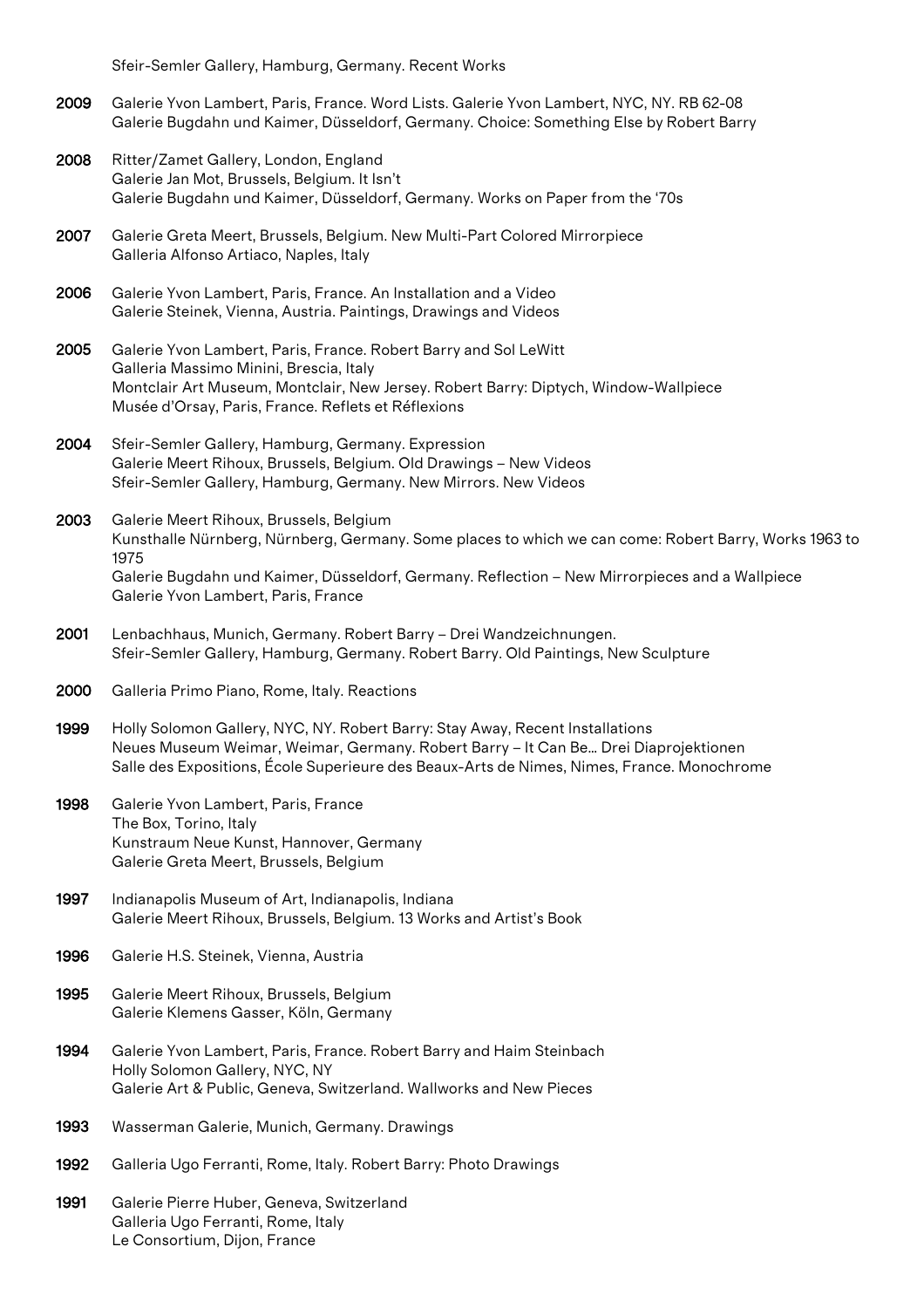Sfeir-Semler Gallery, Hamburg, Germany. Recent Works

- 2009 Galerie Yvon Lambert, Paris, France. Word Lists. Galerie Yvon Lambert, NYC, NY. RB 62-08 Galerie Bugdahn und Kaimer, Düsseldorf, Germany. Choice: Something Else by Robert Barry
- 2008 Ritter/Zamet Gallery, London, England Galerie Jan Mot, Brussels, Belgium. It Isn't Galerie Bugdahn und Kaimer, Düsseldorf, Germany. Works on Paper from the '70s
- 2007 Galerie Greta Meert, Brussels, Belgium. New Multi-Part Colored Mirrorpiece Galleria Alfonso Artiaco, Naples, Italy
- 2006 Galerie Yvon Lambert, Paris, France. An Installation and a Video Galerie Steinek, Vienna, Austria. Paintings, Drawings and Videos
- 2005 Galerie Yvon Lambert, Paris, France. Robert Barry and Sol LeWitt Galleria Massimo Minini, Brescia, Italy Montclair Art Museum, Montclair, New Jersey. Robert Barry: Diptych, Window-Wallpiece Musée d'Orsay, Paris, France. Reflets et Réflexions
- 2004 Sfeir-Semler Gallery, Hamburg, Germany. Expression Galerie Meert Rihoux, Brussels, Belgium. Old Drawings – New Videos Sfeir-Semler Gallery, Hamburg, Germany. New Mirrors. New Videos
- 2003 Galerie Meert Rihoux, Brussels, Belgium Kunsthalle Nürnberg, Nürnberg, Germany. Some places to which we can come: Robert Barry, Works 1963 to 1975 Galerie Bugdahn und Kaimer, Düsseldorf, Germany. Reflection – New Mirrorpieces and a Wallpiece Galerie Yvon Lambert, Paris, France
- 2001 Lenbachhaus, Munich, Germany. Robert Barry Drei Wandzeichnungen. Sfeir-Semler Gallery, Hamburg, Germany. Robert Barry. Old Paintings, New Sculpture
- 2000 Galleria Primo Piano, Rome, Italy. Reactions
- 1999 Holly Solomon Gallery, NYC, NY. Robert Barry: Stay Away, Recent Installations Neues Museum Weimar, Weimar, Germany. Robert Barry – It Can Be… Drei Diaprojektionen Salle des Expositions, École Superieure des Beaux-Arts de Nimes, Nimes, France. Monochrome
- 1998 Galerie Yvon Lambert, Paris, France The Box, Torino, Italy Kunstraum Neue Kunst, Hannover, Germany Galerie Greta Meert, Brussels, Belgium
- 1997 Indianapolis Museum of Art, Indianapolis, Indiana Galerie Meert Rihoux, Brussels, Belgium. 13 Works and Artist's Book
- 1996 Galerie H.S. Steinek, Vienna, Austria
- 1995 Galerie Meert Rihoux, Brussels, Belgium Galerie Klemens Gasser, Köln, Germany
- 1994 Galerie Yvon Lambert, Paris, France. Robert Barry and Haim Steinbach Holly Solomon Gallery, NYC, NY Galerie Art & Public, Geneva, Switzerland. Wallworks and New Pieces
- 1993 Wasserman Galerie, Munich, Germany. Drawings
- 1992 Galleria Ugo Ferranti, Rome, Italy. Robert Barry: Photo Drawings
- 1991 Galerie Pierre Huber, Geneva, Switzerland Galleria Ugo Ferranti, Rome, Italy Le Consortium, Dijon, France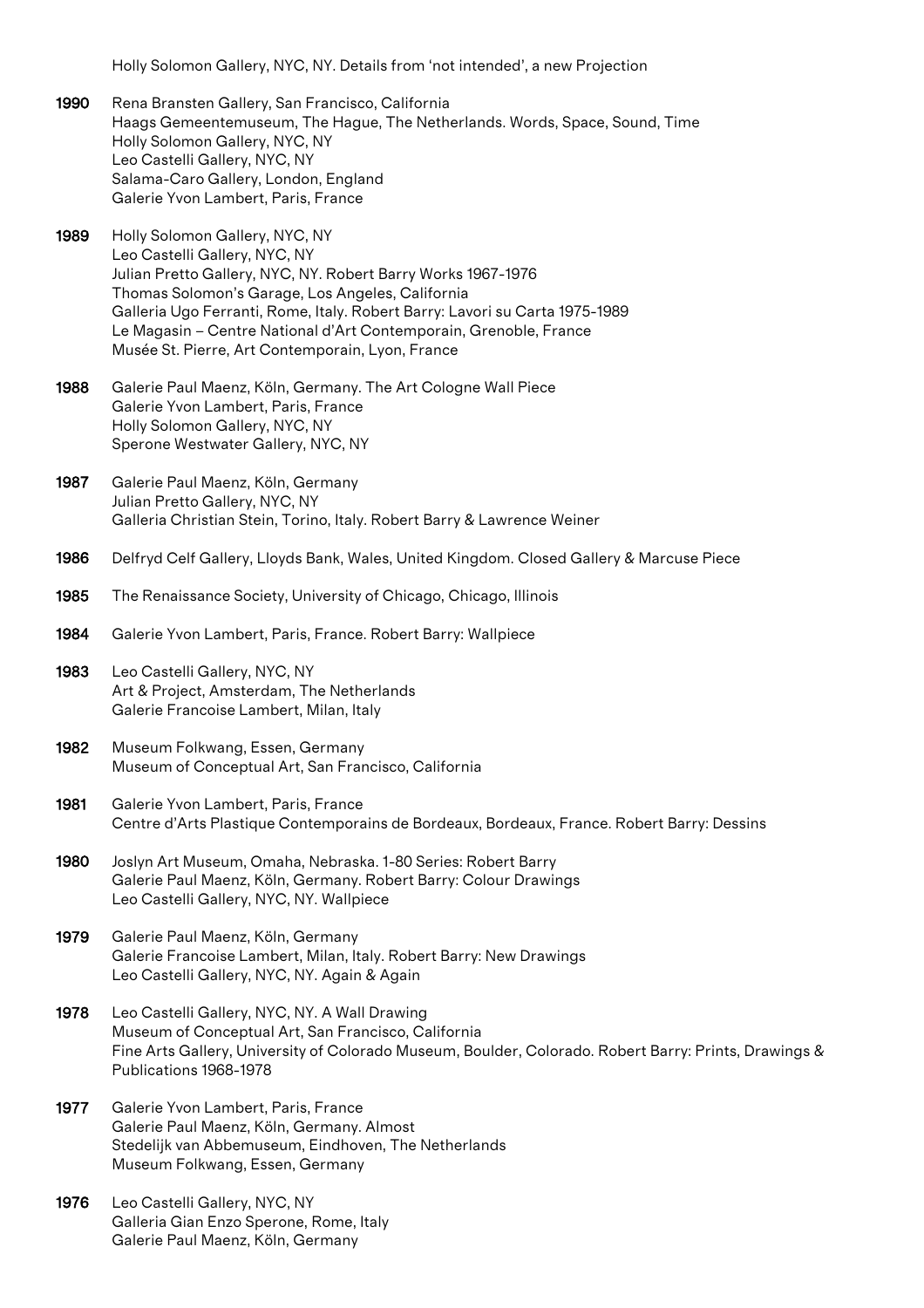Holly Solomon Gallery, NYC, NY. Details from 'not intended', a new Projection

- 1990 Rena Bransten Gallery, San Francisco, California Haags Gemeentemuseum, The Hague, The Netherlands. Words, Space, Sound, Time Holly Solomon Gallery, NYC, NY Leo Castelli Gallery, NYC, NY Salama-Caro Gallery, London, England Galerie Yvon Lambert, Paris, France
- 1989 Holly Solomon Gallery, NYC, NY Leo Castelli Gallery, NYC, NY Julian Pretto Gallery, NYC, NY. Robert Barry Works 1967-1976 Thomas Solomon's Garage, Los Angeles, California Galleria Ugo Ferranti, Rome, Italy. Robert Barry: Lavori su Carta 1975-1989 Le Magasin – Centre National d'Art Contemporain, Grenoble, France Musée St. Pierre, Art Contemporain, Lyon, France
- 1988 Galerie Paul Maenz, Köln, Germany. The Art Cologne Wall Piece Galerie Yvon Lambert, Paris, France Holly Solomon Gallery, NYC, NY Sperone Westwater Gallery, NYC, NY
- 1987 Galerie Paul Maenz, Köln, Germany Julian Pretto Gallery, NYC, NY Galleria Christian Stein, Torino, Italy. Robert Barry & Lawrence Weiner
- 1986 Delfryd Celf Gallery, Lloyds Bank, Wales, United Kingdom. Closed Gallery & Marcuse Piece
- 1985 The Renaissance Society, University of Chicago, Chicago, Illinois
- 1984 Galerie Yvon Lambert, Paris, France. Robert Barry: Wallpiece
- 1983 Leo Castelli Gallery, NYC, NY Art & Project, Amsterdam, The Netherlands Galerie Francoise Lambert, Milan, Italy
- 1982 Museum Folkwang, Essen, Germany Museum of Conceptual Art, San Francisco, California
- 1981 Galerie Yvon Lambert, Paris, France Centre d'Arts Plastique Contemporains de Bordeaux, Bordeaux, France. Robert Barry: Dessins
- 1980 Joslyn Art Museum, Omaha, Nebraska. 1-80 Series: Robert Barry Galerie Paul Maenz, Köln, Germany. Robert Barry: Colour Drawings Leo Castelli Gallery, NYC, NY. Wallpiece
- 1979 Galerie Paul Maenz, Köln, Germany Galerie Francoise Lambert, Milan, Italy. Robert Barry: New Drawings Leo Castelli Gallery, NYC, NY. Again & Again
- 1978 Leo Castelli Gallery, NYC, NY. A Wall Drawing Museum of Conceptual Art, San Francisco, California Fine Arts Gallery, University of Colorado Museum, Boulder, Colorado. Robert Barry: Prints, Drawings & Publications 1968-1978
- 1977 Galerie Yvon Lambert, Paris, France Galerie Paul Maenz, Köln, Germany. Almost Stedelijk van Abbemuseum, Eindhoven, The Netherlands Museum Folkwang, Essen, Germany
- 1976 Leo Castelli Gallery, NYC, NY Galleria Gian Enzo Sperone, Rome, Italy Galerie Paul Maenz, Köln, Germany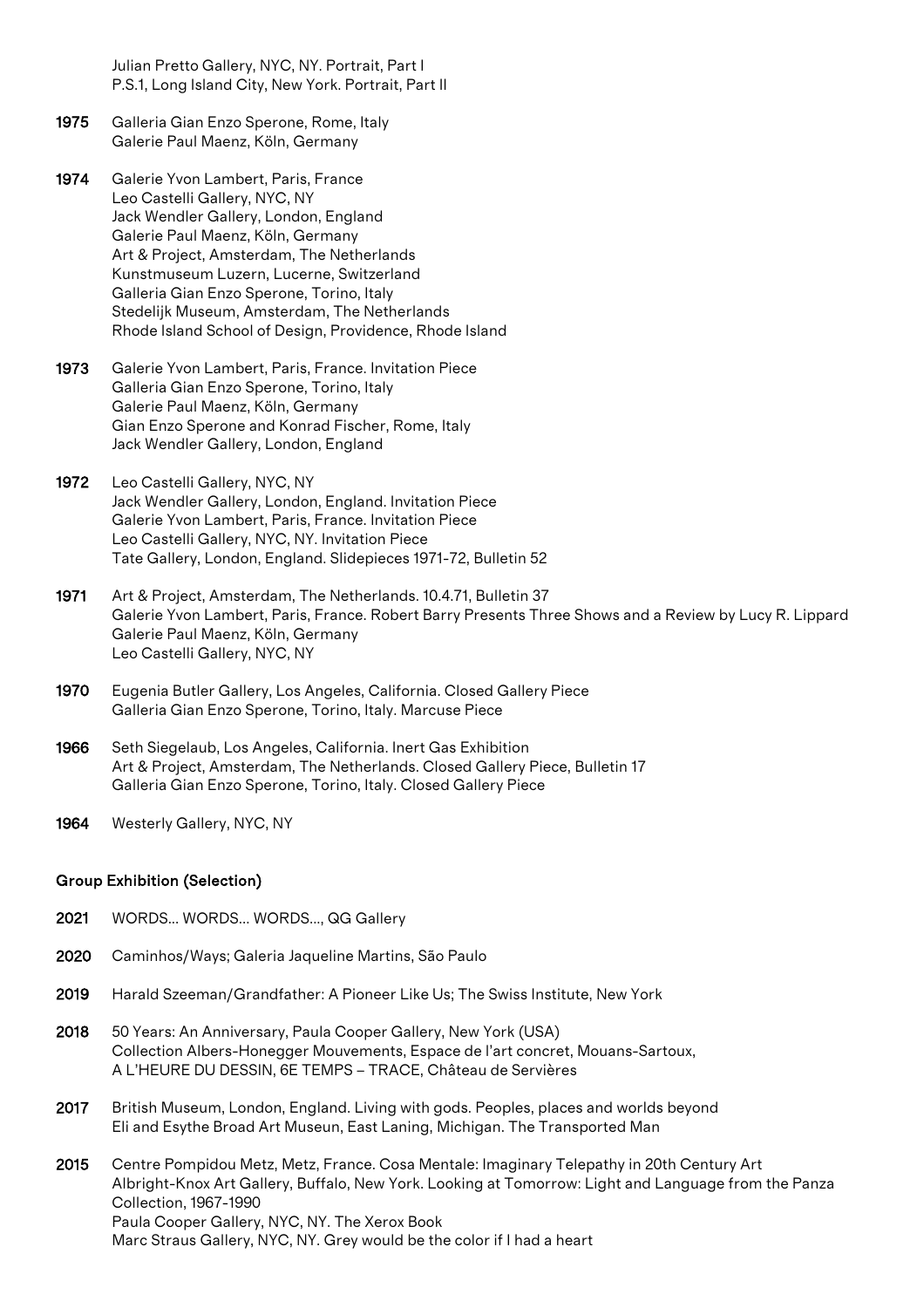Julian Pretto Gallery, NYC, NY. Portrait, Part I P.S.1, Long Island City, New York. Portrait, Part II

- 1975 Galleria Gian Enzo Sperone, Rome, Italy Galerie Paul Maenz, Köln, Germany
- 1974 Galerie Yvon Lambert, Paris, France Leo Castelli Gallery, NYC, NY Jack Wendler Gallery, London, England Galerie Paul Maenz, Köln, Germany Art & Project, Amsterdam, The Netherlands Kunstmuseum Luzern, Lucerne, Switzerland Galleria Gian Enzo Sperone, Torino, Italy Stedelijk Museum, Amsterdam, The Netherlands Rhode Island School of Design, Providence, Rhode Island
- 1973 Galerie Yvon Lambert, Paris, France. Invitation Piece Galleria Gian Enzo Sperone, Torino, Italy Galerie Paul Maenz, Köln, Germany Gian Enzo Sperone and Konrad Fischer, Rome, Italy Jack Wendler Gallery, London, England
- 1972 Leo Castelli Gallery, NYC, NY Jack Wendler Gallery, London, England. Invitation Piece Galerie Yvon Lambert, Paris, France. Invitation Piece Leo Castelli Gallery, NYC, NY. Invitation Piece Tate Gallery, London, England. Slidepieces 1971-72, Bulletin 52
- 1971 Art & Project, Amsterdam, The Netherlands. 10.4.71, Bulletin 37 Galerie Yvon Lambert, Paris, France. Robert Barry Presents Three Shows and a Review by Lucy R. Lippard Galerie Paul Maenz, Köln, Germany Leo Castelli Gallery, NYC, NY
- 1970 Eugenia Butler Gallery, Los Angeles, California. Closed Gallery Piece Galleria Gian Enzo Sperone, Torino, Italy. Marcuse Piece
- 1966 Seth Siegelaub, Los Angeles, California. Inert Gas Exhibition Art & Project, Amsterdam, The Netherlands. Closed Gallery Piece, Bulletin 17 Galleria Gian Enzo Sperone, Torino, Italy. Closed Gallery Piece
- 1964 Westerly Gallery, NYC, NY

#### Group Exhibition (Selection)

- 2021 WORDS... WORDS... WORDS..., QG Gallery
- 2020 Caminhos/Ways; Galeria Jaqueline Martins, São Paulo
- 2019 Harald Szeeman/Grandfather: A Pioneer Like Us; The Swiss Institute, New York
- 2018 50 Years: An Anniversary, Paula Cooper Gallery, New York (USA) Collection Albers-Honegger Mouvements, Espace de l'art concret, Mouans-Sartoux, A L'HEURE DU DESSIN, 6E TEMPS – TRACE, Château de Servières
- 2017 British Museum, London, England. Living with gods. Peoples, places and worlds beyond Eli and Esythe Broad Art Museun, East Laning, Michigan. The Transported Man

2015 Centre Pompidou Metz, Metz, France. Cosa Mentale: Imaginary Telepathy in 20th Century Art Albright-Knox Art Gallery, Buffalo, New York. Looking at Tomorrow: Light and Language from the Panza Collection, 1967-1990 Paula Cooper Gallery, NYC, NY. The Xerox Book Marc Straus Gallery, NYC, NY. Grey would be the color if I had a heart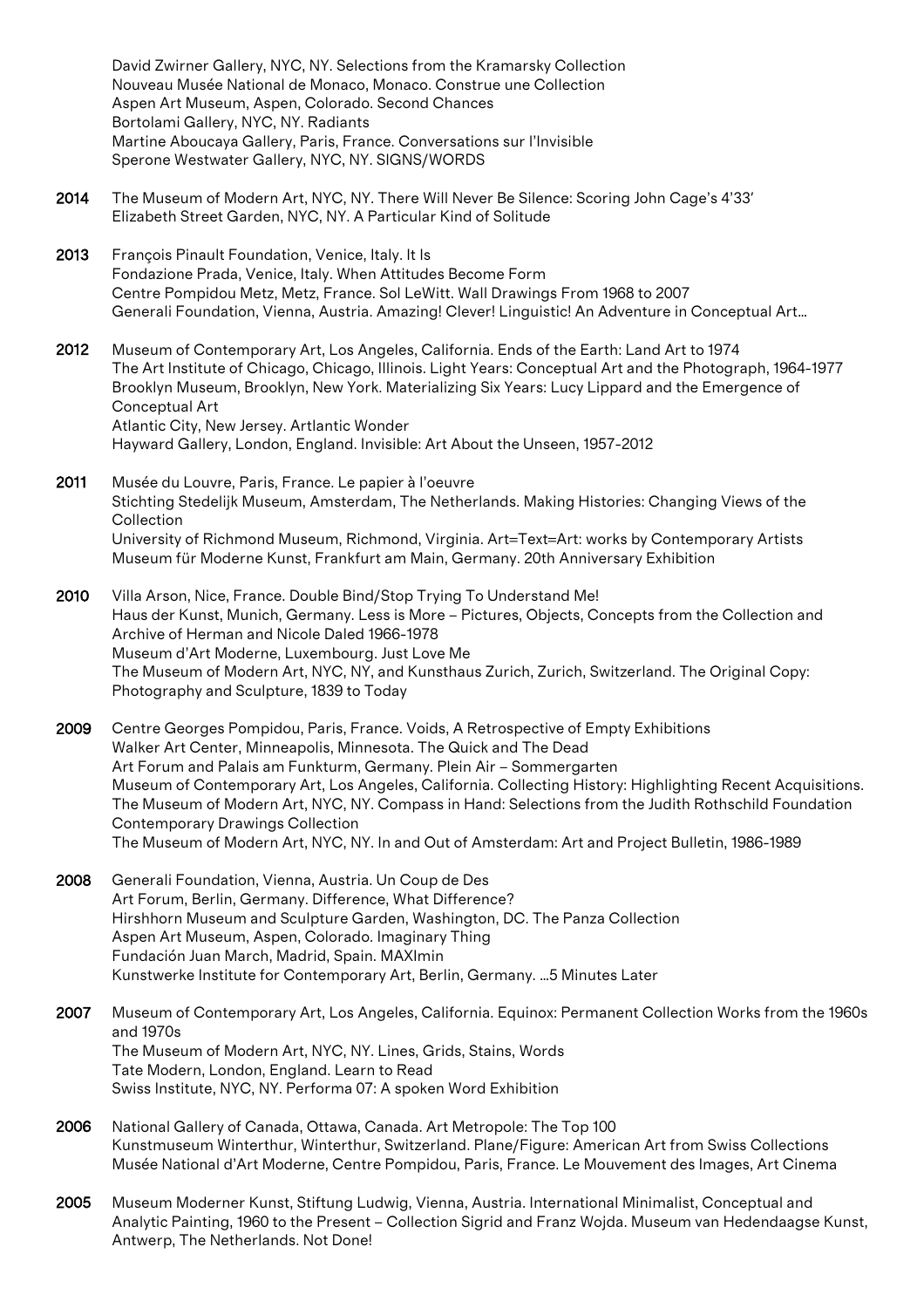David Zwirner Gallery, NYC, NY. Selections from the Kramarsky Collection Nouveau Musée National de Monaco, Monaco. Construe une Collection Aspen Art Museum, Aspen, Colorado. Second Chances Bortolami Gallery, NYC, NY. Radiants Martine Aboucaya Gallery, Paris, France. Conversations sur l'Invisible Sperone Westwater Gallery, NYC, NY. SIGNS/WORDS

- 2014 The Museum of Modern Art, NYC, NY. There Will Never Be Silence: Scoring John Cage's 4'33' Elizabeth Street Garden, NYC, NY. A Particular Kind of Solitude
- 2013 François Pinault Foundation, Venice, Italy. It Is Fondazione Prada, Venice, Italy. When Attitudes Become Form Centre Pompidou Metz, Metz, France. Sol LeWitt. Wall Drawings From 1968 to 2007 Generali Foundation, Vienna, Austria. Amazing! Clever! Linguistic! An Adventure in Conceptual Art…
- 2012 Museum of Contemporary Art, Los Angeles, California. Ends of the Earth: Land Art to 1974 The Art Institute of Chicago, Chicago, Illinois. Light Years: Conceptual Art and the Photograph, 1964-1977 Brooklyn Museum, Brooklyn, New York. Materializing Six Years: Lucy Lippard and the Emergence of Conceptual Art Atlantic City, New Jersey. Artlantic Wonder Hayward Gallery, London, England. Invisible: Art About the Unseen, 1957-2012
- 2011 Musée du Louvre, Paris, France. Le papier à l'oeuvre Stichting Stedelijk Museum, Amsterdam, The Netherlands. Making Histories: Changing Views of the Collection University of Richmond Museum, Richmond, Virginia. Art=Text=Art: works by Contemporary Artists Museum für Moderne Kunst, Frankfurt am Main, Germany. 20th Anniversary Exhibition
- 2010 Villa Arson, Nice, France. Double Bind/Stop Trying To Understand Me! Haus der Kunst, Munich, Germany. Less is More – Pictures, Objects, Concepts from the Collection and Archive of Herman and Nicole Daled 1966-1978 Museum d'Art Moderne, Luxembourg. Just Love Me The Museum of Modern Art, NYC, NY, and Kunsthaus Zurich, Zurich, Switzerland. The Original Copy: Photography and Sculpture, 1839 to Today
- 2009 Centre Georges Pompidou, Paris, France. Voids, A Retrospective of Empty Exhibitions Walker Art Center, Minneapolis, Minnesota. The Quick and The Dead Art Forum and Palais am Funkturm, Germany. Plein Air – Sommergarten Museum of Contemporary Art, Los Angeles, California. Collecting History: Highlighting Recent Acquisitions. The Museum of Modern Art, NYC, NY. Compass in Hand: Selections from the Judith Rothschild Foundation Contemporary Drawings Collection The Museum of Modern Art, NYC, NY. In and Out of Amsterdam: Art and Project Bulletin, 1986-1989
- 2008 Generali Foundation, Vienna, Austria. Un Coup de Des Art Forum, Berlin, Germany. Difference, What Difference? Hirshhorn Museum and Sculpture Garden, Washington, DC. The Panza Collection Aspen Art Museum, Aspen, Colorado. Imaginary Thing Fundación Juan March, Madrid, Spain. MAXImin Kunstwerke Institute for Contemporary Art, Berlin, Germany. …5 Minutes Later
- 2007 Museum of Contemporary Art, Los Angeles, California. Equinox: Permanent Collection Works from the 1960s and 1970s The Museum of Modern Art, NYC, NY. Lines, Grids, Stains, Words Tate Modern, London, England. Learn to Read Swiss Institute, NYC, NY. Performa 07: A spoken Word Exhibition
- 2006 National Gallery of Canada, Ottawa, Canada. Art Metropole: The Top 100 Kunstmuseum Winterthur, Winterthur, Switzerland. Plane/Figure: American Art from Swiss Collections Musée National d'Art Moderne, Centre Pompidou, Paris, France. Le Mouvement des Images, Art Cinema
- 2005 Museum Moderner Kunst, Stiftung Ludwig, Vienna, Austria. International Minimalist, Conceptual and Analytic Painting, 1960 to the Present – Collection Sigrid and Franz Wojda. Museum van Hedendaagse Kunst, Antwerp, The Netherlands. Not Done!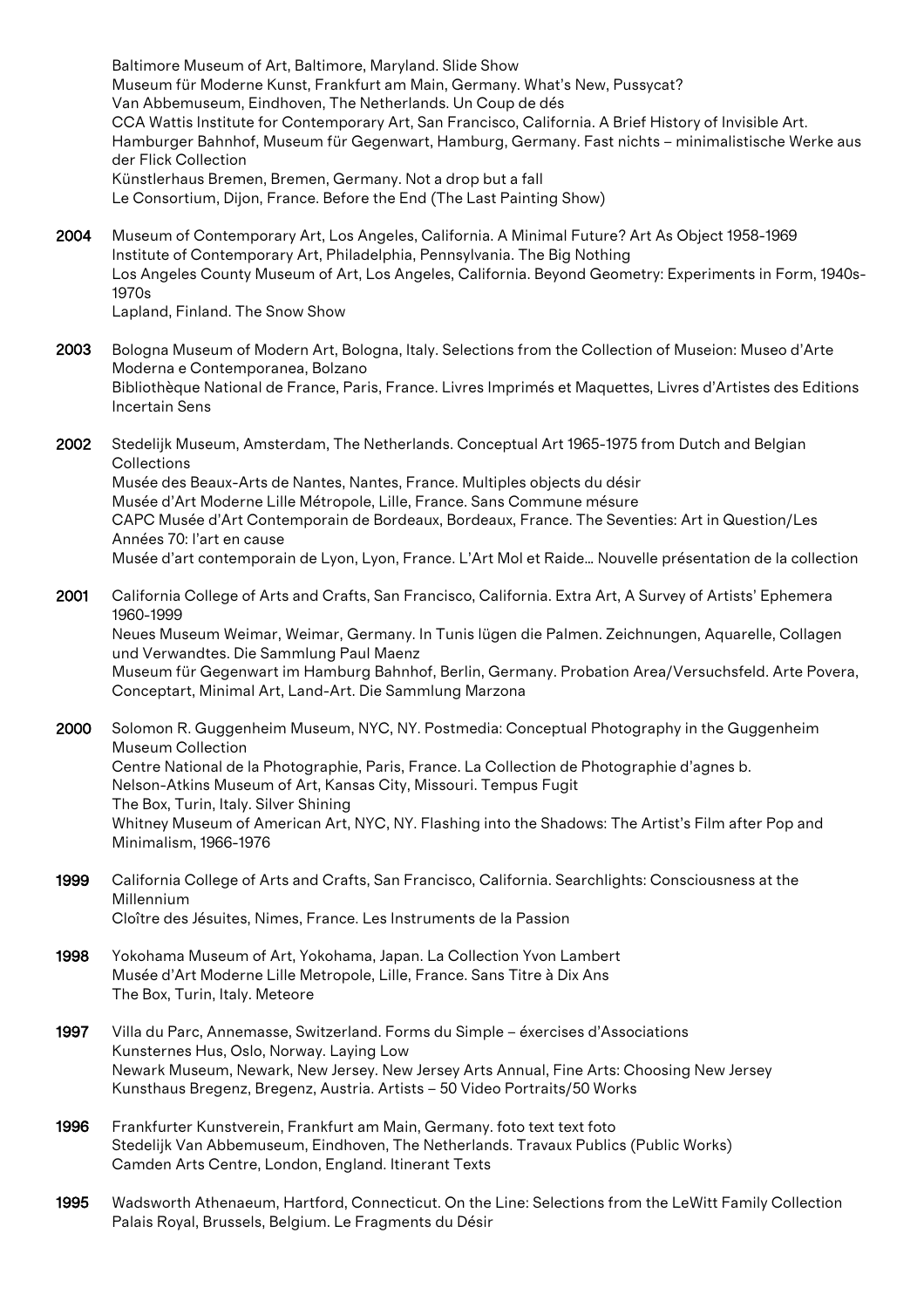Baltimore Museum of Art, Baltimore, Maryland. Slide Show Museum für Moderne Kunst, Frankfurt am Main, Germany. What's New, Pussycat? Van Abbemuseum, Eindhoven, The Netherlands. Un Coup de dés CCA Wattis Institute for Contemporary Art, San Francisco, California. A Brief History of Invisible Art. Hamburger Bahnhof, Museum für Gegenwart, Hamburg, Germany. Fast nichts – minimalistische Werke aus der Flick Collection Künstlerhaus Bremen, Bremen, Germany. Not a drop but a fall Le Consortium, Dijon, France. Before the End (The Last Painting Show)

- 2004 Museum of Contemporary Art, Los Angeles, California. A Minimal Future? Art As Object 1958-1969 Institute of Contemporary Art, Philadelphia, Pennsylvania. The Big Nothing Los Angeles County Museum of Art, Los Angeles, California. Beyond Geometry: Experiments in Form, 1940s-1970s Lapland, Finland. The Snow Show
- 2003 Bologna Museum of Modern Art, Bologna, Italy. Selections from the Collection of Museion: Museo d'Arte Moderna e Contemporanea, Bolzano Bibliothèque National de France, Paris, France. Livres Imprimés et Maquettes, Livres d'Artistes des Editions Incertain Sens
- 2002 Stedelijk Museum, Amsterdam, The Netherlands. Conceptual Art 1965-1975 from Dutch and Belgian **Collections** Musée des Beaux-Arts de Nantes, Nantes, France. Multiples objects du désir Musée d'Art Moderne Lille Métropole, Lille, France. Sans Commune mésure CAPC Musée d'Art Contemporain de Bordeaux, Bordeaux, France. The Seventies: Art in Question/Les Années 70: l'art en cause Musée d'art contemporain de Lyon, Lyon, France. L'Art Mol et Raide… Nouvelle présentation de la collection
- 2001 California College of Arts and Crafts, San Francisco, California. Extra Art, A Survey of Artists' Ephemera 1960-1999 Neues Museum Weimar, Weimar, Germany. In Tunis lügen die Palmen. Zeichnungen, Aquarelle, Collagen und Verwandtes. Die Sammlung Paul Maenz Museum für Gegenwart im Hamburg Bahnhof, Berlin, Germany. Probation Area/Versuchsfeld. Arte Povera, Conceptart, Minimal Art, Land-Art. Die Sammlung Marzona
- 2000 Solomon R. Guggenheim Museum, NYC, NY. Postmedia: Conceptual Photography in the Guggenheim Museum Collection Centre National de la Photographie, Paris, France. La Collection de Photographie d'agnes b. Nelson-Atkins Museum of Art, Kansas City, Missouri. Tempus Fugit The Box, Turin, Italy. Silver Shining Whitney Museum of American Art, NYC, NY. Flashing into the Shadows: The Artist's Film after Pop and Minimalism, 1966-1976
- 1999 California College of Arts and Crafts, San Francisco, California. Searchlights: Consciousness at the Millennium Cloître des Jésuites, Nimes, France. Les Instruments de la Passion
- 1998 Yokohama Museum of Art, Yokohama, Japan. La Collection Yvon Lambert Musée d'Art Moderne Lille Metropole, Lille, France. Sans Titre à Dix Ans The Box, Turin, Italy. Meteore
- 1997 Villa du Parc, Annemasse, Switzerland. Forms du Simple éxercises d'Associations Kunsternes Hus, Oslo, Norway. Laying Low Newark Museum, Newark, New Jersey. New Jersey Arts Annual, Fine Arts: Choosing New Jersey Kunsthaus Bregenz, Bregenz, Austria. Artists – 50 Video Portraits/50 Works
- 1996 Frankfurter Kunstverein, Frankfurt am Main, Germany. foto text text foto Stedelijk Van Abbemuseum, Eindhoven, The Netherlands. Travaux Publics (Public Works) Camden Arts Centre, London, England. Itinerant Texts
- 1995 Wadsworth Athenaeum, Hartford, Connecticut. On the Line: Selections from the LeWitt Family Collection Palais Royal, Brussels, Belgium. Le Fragments du Désir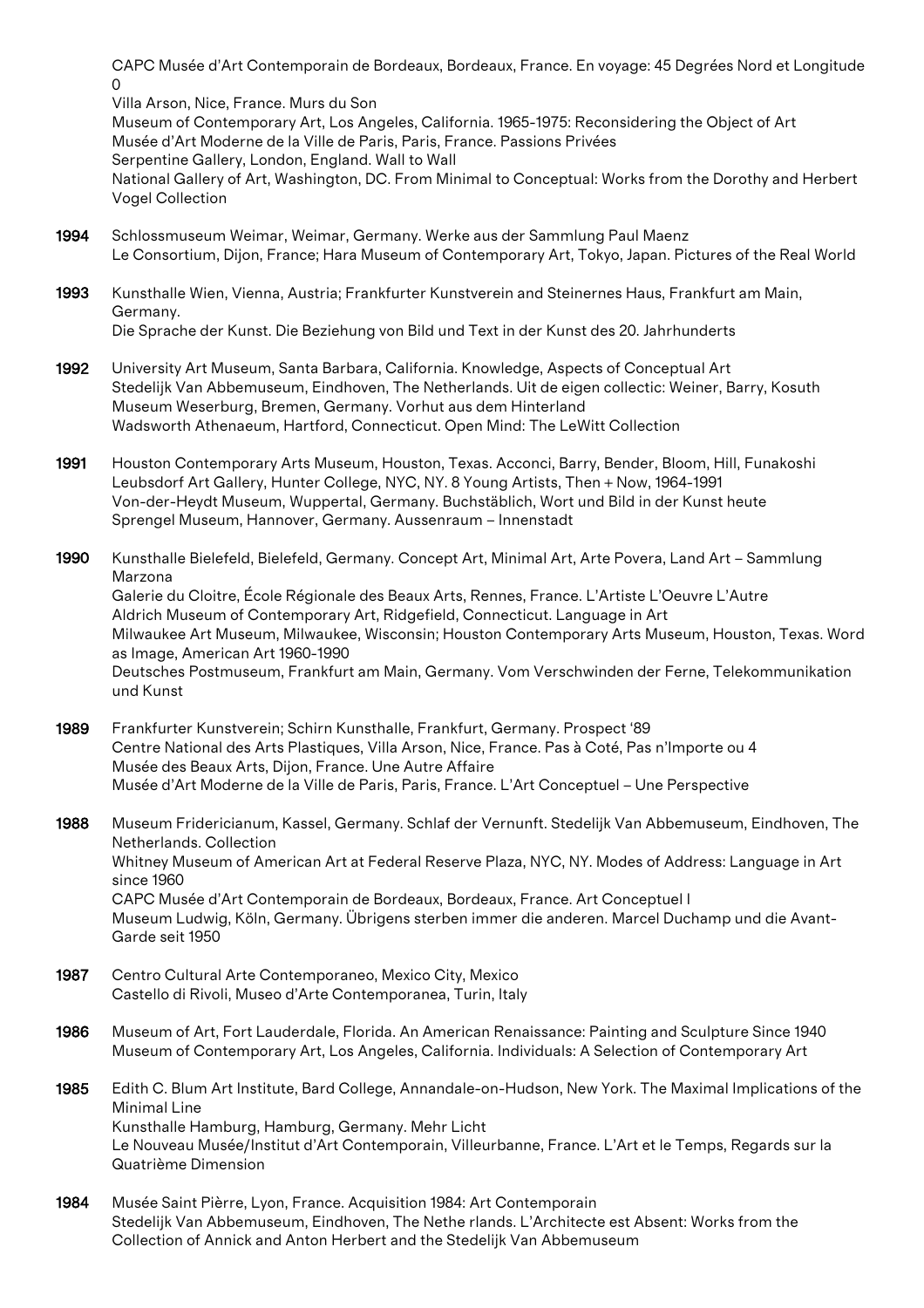CAPC Musée d'Art Contemporain de Bordeaux, Bordeaux, France. En voyage: 45 Degrées Nord et Longitude  $\Omega$ 

Villa Arson, Nice, France. Murs du Son

Museum of Contemporary Art, Los Angeles, California. 1965-1975: Reconsidering the Object of Art Musée d'Art Moderne de la Ville de Paris, Paris, France. Passions Privées Serpentine Gallery, London, England. Wall to Wall National Gallery of Art, Washington, DC. From Minimal to Conceptual: Works from the Dorothy and Herbert Vogel Collection

- 1994 Schlossmuseum Weimar, Weimar, Germany. Werke aus der Sammlung Paul Maenz Le Consortium, Dijon, France; Hara Museum of Contemporary Art, Tokyo, Japan. Pictures of the Real World
- 1993 Kunsthalle Wien, Vienna, Austria; Frankfurter Kunstverein and Steinernes Haus, Frankfurt am Main, Germany. Die Sprache der Kunst. Die Beziehung von Bild und Text in der Kunst des 20. Jahrhunderts
- 1992 University Art Museum, Santa Barbara, California. Knowledge, Aspects of Conceptual Art Stedelijk Van Abbemuseum, Eindhoven, The Netherlands. Uit de eigen collectic: Weiner, Barry, Kosuth Museum Weserburg, Bremen, Germany. Vorhut aus dem Hinterland Wadsworth Athenaeum, Hartford, Connecticut. Open Mind: The LeWitt Collection
- 1991 Houston Contemporary Arts Museum, Houston, Texas. Acconci, Barry, Bender, Bloom, Hill, Funakoshi Leubsdorf Art Gallery, Hunter College, NYC, NY. 8 Young Artists, Then + Now, 1964-1991 Von-der-Heydt Museum, Wuppertal, Germany. Buchstäblich, Wort und Bild in der Kunst heute Sprengel Museum, Hannover, Germany. Aussenraum – Innenstadt

1990 Kunsthalle Bielefeld, Bielefeld, Germany. Concept Art, Minimal Art, Arte Povera, Land Art – Sammlung Marzona Galerie du Cloitre, École Régionale des Beaux Arts, Rennes, France. L'Artiste L'Oeuvre L'Autre Aldrich Museum of Contemporary Art, Ridgefield, Connecticut. Language in Art Milwaukee Art Museum, Milwaukee, Wisconsin; Houston Contemporary Arts Museum, Houston, Texas. Word as Image, American Art 1960-1990 Deutsches Postmuseum, Frankfurt am Main, Germany. Vom Verschwinden der Ferne, Telekommunikation und Kunst

1989 Frankfurter Kunstverein; Schirn Kunsthalle, Frankfurt, Germany. Prospect '89 Centre National des Arts Plastiques, Villa Arson, Nice, France. Pas à Coté, Pas n'Importe ou 4 Musée des Beaux Arts, Dijon, France. Une Autre Affaire Musée d'Art Moderne de la Ville de Paris, Paris, France. L'Art Conceptuel – Une Perspective

1988 Museum Fridericianum, Kassel, Germany. Schlaf der Vernunft. Stedelijk Van Abbemuseum, Eindhoven, The Netherlands. Collection Whitney Museum of American Art at Federal Reserve Plaza, NYC, NY. Modes of Address: Language in Art since 1960 CAPC Musée d'Art Contemporain de Bordeaux, Bordeaux, France. Art Conceptuel I Museum Ludwig, Köln, Germany. Übrigens sterben immer die anderen. Marcel Duchamp und die Avant-Garde seit 1950

- 1987 Centro Cultural Arte Contemporaneo, Mexico City, Mexico Castello di Rivoli, Museo d'Arte Contemporanea, Turin, Italy
- 1986 Museum of Art, Fort Lauderdale, Florida. An American Renaissance: Painting and Sculpture Since 1940 Museum of Contemporary Art, Los Angeles, California. Individuals: A Selection of Contemporary Art
- 1985 Edith C. Blum Art Institute, Bard College, Annandale-on-Hudson, New York. The Maximal Implications of the Minimal Line Kunsthalle Hamburg, Hamburg, Germany. Mehr Licht Le Nouveau Musée/Institut d'Art Contemporain, Villeurbanne, France. L'Art et le Temps, Regards sur la Quatrième Dimension
- 1984 Musée Saint Pièrre, Lyon, France. Acquisition 1984: Art Contemporain Stedelijk Van Abbemuseum, Eindhoven, The Nethe rlands. L'Architecte est Absent: Works from the Collection of Annick and Anton Herbert and the Stedelijk Van Abbemuseum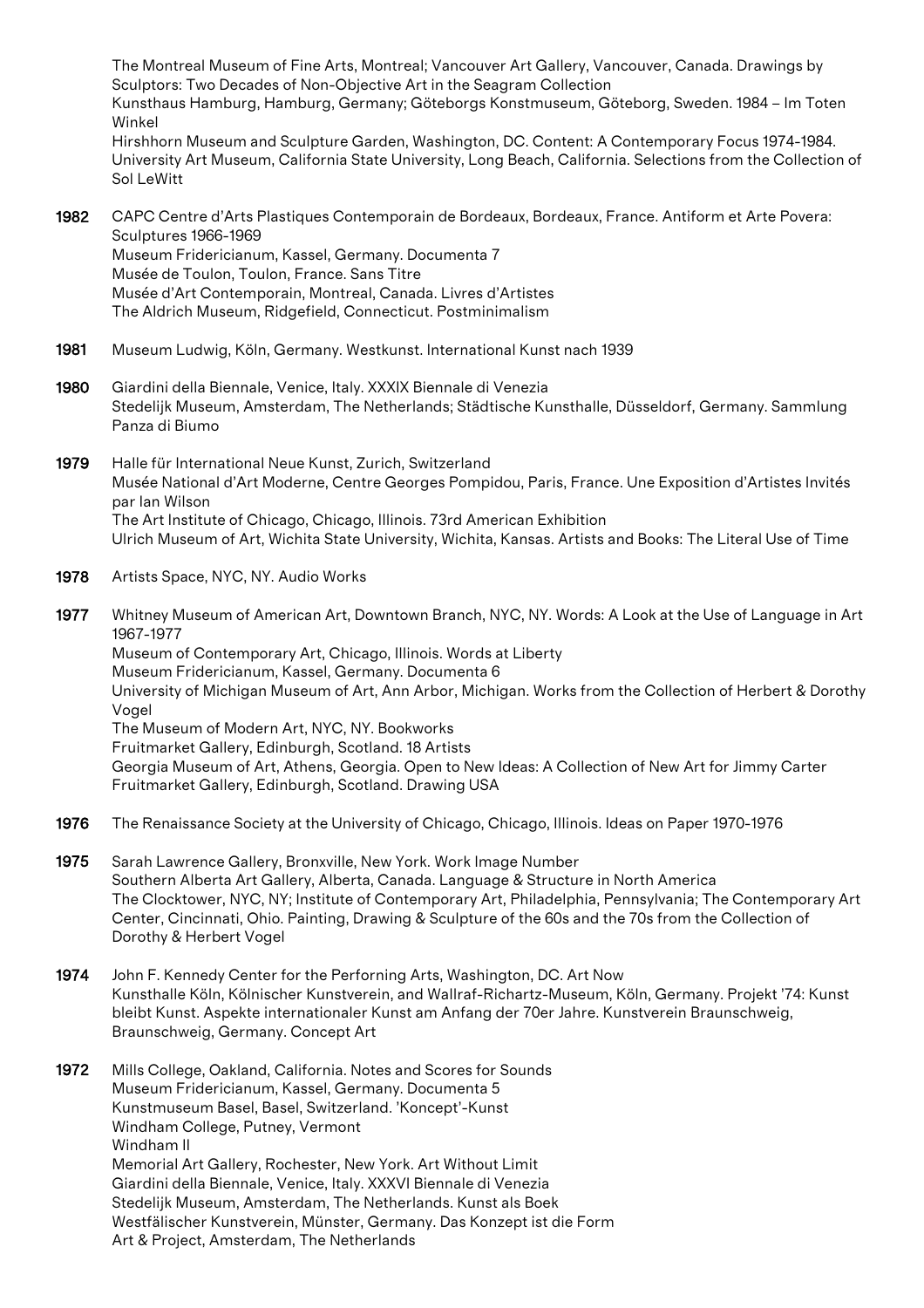The Montreal Museum of Fine Arts, Montreal; Vancouver Art Gallery, Vancouver, Canada. Drawings by Sculptors: Two Decades of Non-Objective Art in the Seagram Collection Kunsthaus Hamburg, Hamburg, Germany; Göteborgs Konstmuseum, Göteborg, Sweden. 1984 – Im Toten Winkel Hirshhorn Museum and Sculpture Garden, Washington, DC. Content: A Contemporary Focus 1974-1984. University Art Museum, California State University, Long Beach, California. Selections from the Collection of Sol LeWitt

- 1982 CAPC Centre d'Arts Plastiques Contemporain de Bordeaux, Bordeaux, France. Antiform et Arte Povera: Sculptures 1966-1969 Museum Fridericianum, Kassel, Germany. Documenta 7 Musée de Toulon, Toulon, France. Sans Titre Musée d'Art Contemporain, Montreal, Canada. Livres d'Artistes The Aldrich Museum, Ridgefield, Connecticut. Postminimalism
- 1981 Museum Ludwig, Köln, Germany. Westkunst. International Kunst nach 1939
- 1980 Giardini della Biennale, Venice, Italy. XXXIX Biennale di Venezia Stedelijk Museum, Amsterdam, The Netherlands; Städtische Kunsthalle, Düsseldorf, Germany. Sammlung Panza di Biumo
- 1979 Halle für International Neue Kunst, Zurich, Switzerland Musée National d'Art Moderne, Centre Georges Pompidou, Paris, France. Une Exposition d'Artistes Invités par Ian Wilson The Art Institute of Chicago, Chicago, Illinois. 73rd American Exhibition Ulrich Museum of Art, Wichita State University, Wichita, Kansas. Artists and Books: The Literal Use of Time
- 1978 Artists Space, NYC, NY. Audio Works

1977 Whitney Museum of American Art, Downtown Branch, NYC, NY. Words: A Look at the Use of Language in Art 1967-1977 Museum of Contemporary Art, Chicago, Illinois. Words at Liberty Museum Fridericianum, Kassel, Germany. Documenta 6 University of Michigan Museum of Art, Ann Arbor, Michigan. Works from the Collection of Herbert & Dorothy Vogel The Museum of Modern Art, NYC, NY. Bookworks Fruitmarket Gallery, Edinburgh, Scotland. 18 Artists Georgia Museum of Art, Athens, Georgia. Open to New Ideas: A Collection of New Art for Jimmy Carter Fruitmarket Gallery, Edinburgh, Scotland. Drawing USA

- 1976 The Renaissance Society at the University of Chicago, Chicago, Illinois. Ideas on Paper 1970-1976
- 1975 Sarah Lawrence Gallery, Bronxville, New York. Work Image Number Southern Alberta Art Gallery, Alberta, Canada. Language & Structure in North America The Clocktower, NYC, NY; Institute of Contemporary Art, Philadelphia, Pennsylvania; The Contemporary Art Center, Cincinnati, Ohio. Painting, Drawing & Sculpture of the 60s and the 70s from the Collection of Dorothy & Herbert Vogel
- 1974 John F. Kennedy Center for the Perforning Arts, Washington, DC. Art Now Kunsthalle Köln, Kölnischer Kunstverein, and Wallraf-Richartz-Museum, Köln, Germany. Projekt '74: Kunst bleibt Kunst. Aspekte internationaler Kunst am Anfang der 70er Jahre. Kunstverein Braunschweig, Braunschweig, Germany. Concept Art
- 1972 Mills College, Oakland, California. Notes and Scores for Sounds Museum Fridericianum, Kassel, Germany. Documenta 5 Kunstmuseum Basel, Basel, Switzerland. 'Koncept'-Kunst Windham College, Putney, Vermont Windham II Memorial Art Gallery, Rochester, New York. Art Without Limit Giardini della Biennale, Venice, Italy. XXXVI Biennale di Venezia Stedelijk Museum, Amsterdam, The Netherlands. Kunst als Boek Westfälischer Kunstverein, Münster, Germany. Das Konzept ist die Form Art & Project, Amsterdam, The Netherlands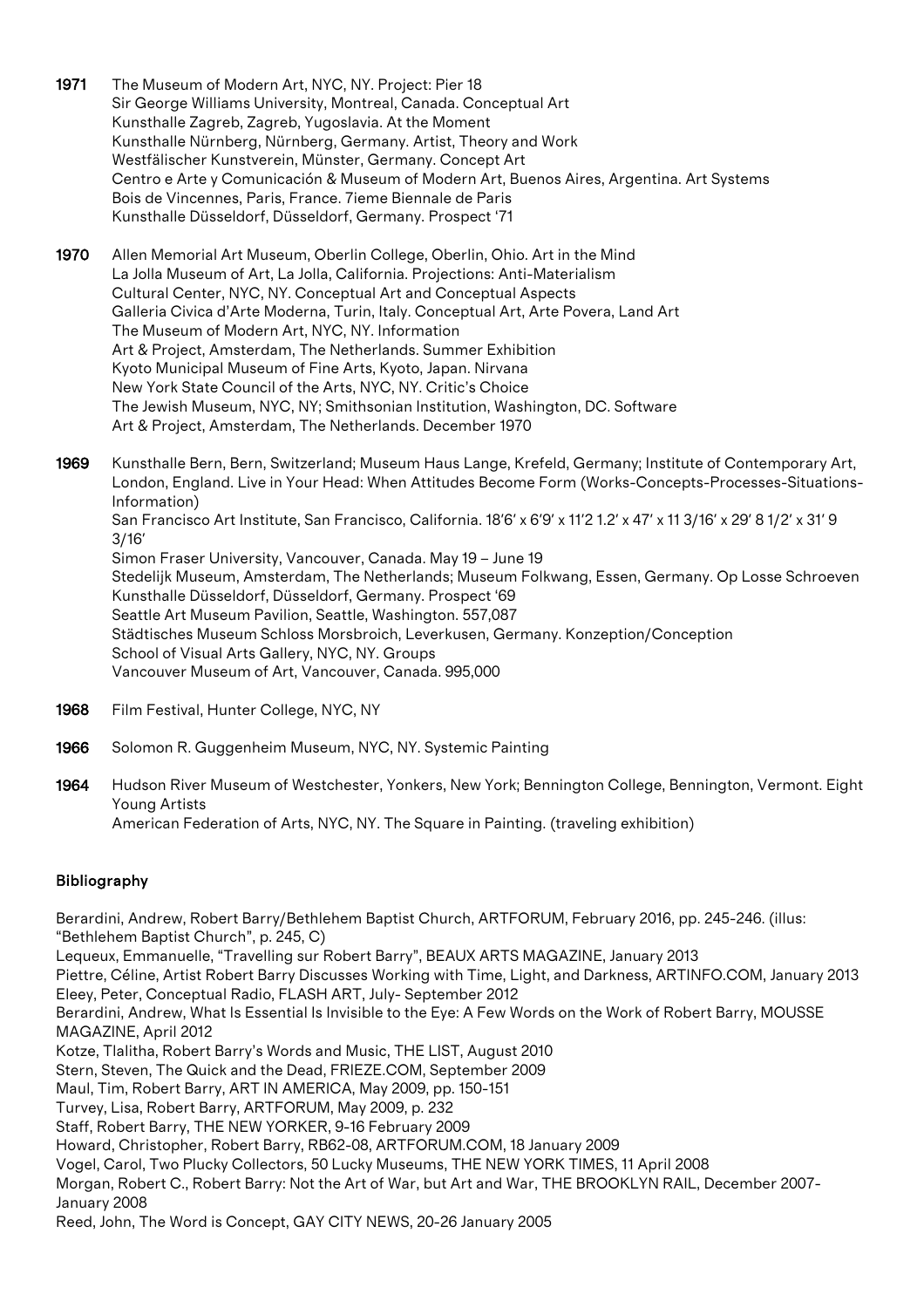- 1971 The Museum of Modern Art, NYC, NY. Project: Pier 18 Sir George Williams University, Montreal, Canada. Conceptual Art Kunsthalle Zagreb, Zagreb, Yugoslavia. At the Moment Kunsthalle Nürnberg, Nürnberg, Germany. Artist, Theory and Work Westfälischer Kunstverein, Münster, Germany. Concept Art Centro e Arte y Comunicación & Museum of Modern Art, Buenos Aires, Argentina. Art Systems Bois de Vincennes, Paris, France. 7ieme Biennale de Paris Kunsthalle Düsseldorf, Düsseldorf, Germany. Prospect '71
- 1970 Allen Memorial Art Museum, Oberlin College, Oberlin, Ohio. Art in the Mind La Jolla Museum of Art, La Jolla, California. Projections: Anti-Materialism Cultural Center, NYC, NY. Conceptual Art and Conceptual Aspects Galleria Civica d'Arte Moderna, Turin, Italy. Conceptual Art, Arte Povera, Land Art The Museum of Modern Art, NYC, NY. Information Art & Project, Amsterdam, The Netherlands. Summer Exhibition Kyoto Municipal Museum of Fine Arts, Kyoto, Japan. Nirvana New York State Council of the Arts, NYC, NY. Critic's Choice The Jewish Museum, NYC, NY; Smithsonian Institution, Washington, DC. Software Art & Project, Amsterdam, The Netherlands. December 1970
- 1969 Kunsthalle Bern, Bern, Switzerland; Museum Haus Lange, Krefeld, Germany; Institute of Contemporary Art, London, England. Live in Your Head: When Attitudes Become Form (Works-Concepts-Processes-Situations-Information) San Francisco Art Institute, San Francisco, California. 18'6' x 6'9' x 11'2 1.2' x 47' x 11 3/16' x 29' 8 1/2' x 31' 9 3/16' Simon Fraser University, Vancouver, Canada. May 19 – June 19 Stedelijk Museum, Amsterdam, The Netherlands; Museum Folkwang, Essen, Germany. Op Losse Schroeven Kunsthalle Düsseldorf, Düsseldorf, Germany. Prospect '69 Seattle Art Museum Pavilion, Seattle, Washington. 557,087 Städtisches Museum Schloss Morsbroich, Leverkusen, Germany. Konzeption/Conception School of Visual Arts Gallery, NYC, NY. Groups Vancouver Museum of Art, Vancouver, Canada. 995,000
- 1968 Film Festival, Hunter College, NYC, NY
- 1966 Solomon R. Guggenheim Museum, NYC, NY. Systemic Painting
- 1964 Hudson River Museum of Westchester, Yonkers, New York; Bennington College, Bennington, Vermont. Eight Young Artists American Federation of Arts, NYC, NY. The Square in Painting. (traveling exhibition)

# Bibliography

Berardini, Andrew, Robert Barry/Bethlehem Baptist Church, ARTFORUM, February 2016, pp. 245-246. (illus: "Bethlehem Baptist Church", p. 245, C)

Lequeux, Emmanuelle, "Travelling sur Robert Barry", BEAUX ARTS MAGAZINE, January 2013

Piettre, Céline, Artist Robert Barry Discusses Working with Time, Light, and Darkness, ARTINFO.COM, January 2013 Eleey, Peter, Conceptual Radio, FLASH ART, July- September 2012

Berardini, Andrew, What Is Essential Is Invisible to the Eye: A Few Words on the Work of Robert Barry, MOUSSE MAGAZINE, April 2012

Kotze, Tlalitha, Robert Barry's Words and Music, THE LIST, August 2010

Stern, Steven, The Quick and the Dead, FRIEZE.COM, September 2009

Maul, Tim, Robert Barry, ART IN AMERICA, May 2009, pp. 150-151

Turvey, Lisa, Robert Barry, ARTFORUM, May 2009, p. 232

Staff, Robert Barry, THE NEW YORKER, 9-16 February 2009

Howard, Christopher, Robert Barry, RB62-08, ARTFORUM.COM, 18 January 2009

Vogel, Carol, Two Plucky Collectors, 50 Lucky Museums, THE NEW YORK TIMES, 11 April 2008

Morgan, Robert C., Robert Barry: Not the Art of War, but Art and War, THE BROOKLYN RAIL, December 2007- January 2008

Reed, John, The Word is Concept, GAY CITY NEWS, 20-26 January 2005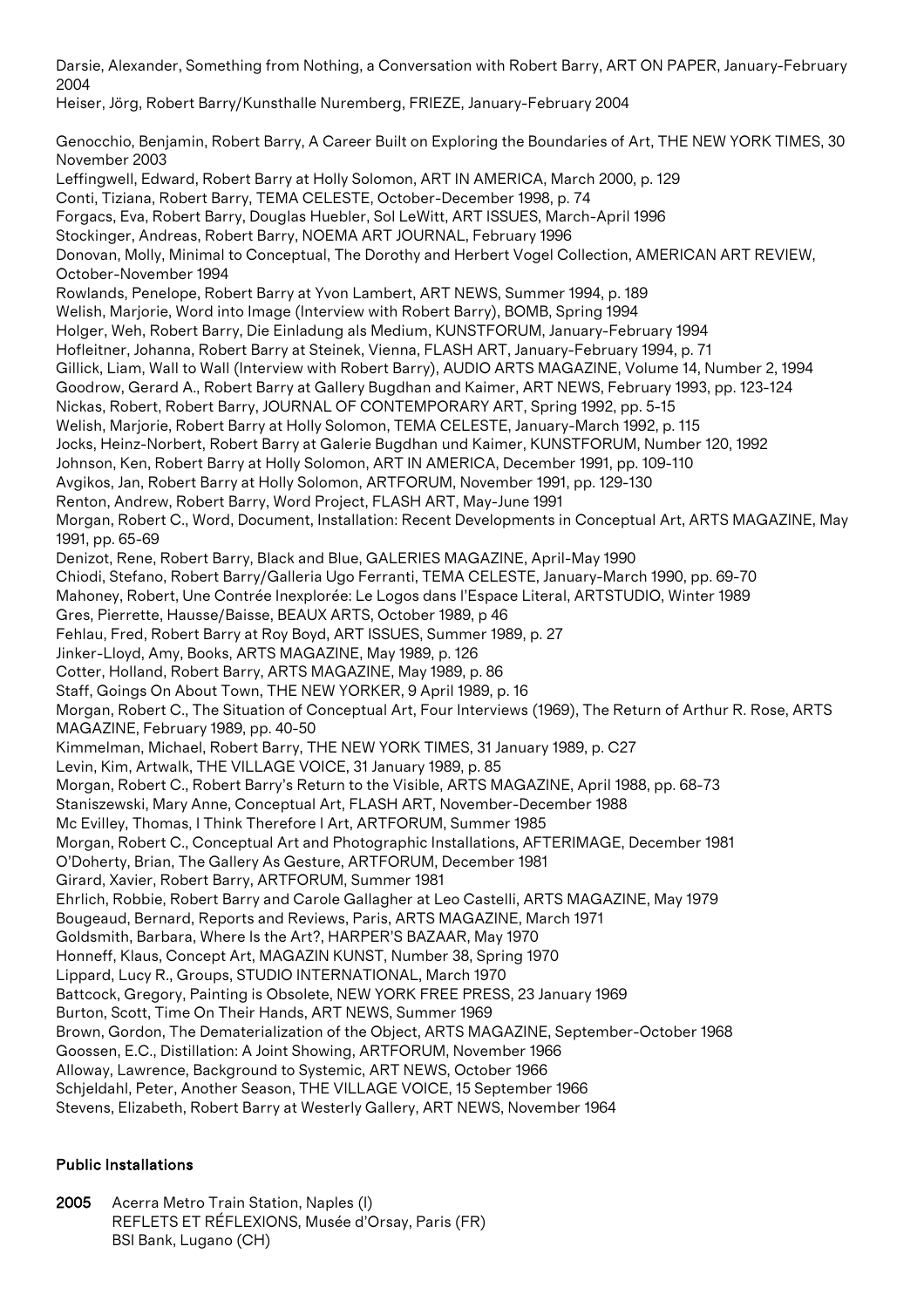Darsie, Alexander, Something from Nothing, a Conversation with Robert Barry, ART ON PAPER, January-February 2004

Heiser, Jörg, Robert Barry/Kunsthalle Nuremberg, FRIEZE, January-February 2004

Genocchio, Benjamin, Robert Barry, A Career Built on Exploring the Boundaries of Art, THE NEW YORK TIMES, 30 November 2003 Leffingwell, Edward, Robert Barry at Holly Solomon, ART IN AMERICA, March 2000, p. 129 Conti, Tiziana, Robert Barry, TEMA CELESTE, October-December 1998, p. 74 Forgacs, Eva, Robert Barry, Douglas Huebler, Sol LeWitt, ART ISSUES, March-April 1996 Stockinger, Andreas, Robert Barry, NOEMA ART JOURNAL, February 1996 Donovan, Molly, Minimal to Conceptual, The Dorothy and Herbert Vogel Collection, AMERICAN ART REVIEW, October-November 1994 Rowlands, Penelope, Robert Barry at Yvon Lambert, ART NEWS, Summer 1994, p. 189 Welish, Marjorie, Word into Image (Interview with Robert Barry), BOMB, Spring 1994 Holger, Weh, Robert Barry, Die Einladung als Medium, KUNSTFORUM, January-February 1994 Hofleitner, Johanna, Robert Barry at Steinek, Vienna, FLASH ART, January-February 1994, p. 71 Gillick, Liam, Wall to Wall (Interview with Robert Barry), AUDIO ARTS MAGAZINE, Volume 14, Number 2, 1994 Goodrow, Gerard A., Robert Barry at Gallery Bugdhan and Kaimer, ART NEWS, February 1993, pp. 123-124 Nickas, Robert, Robert Barry, JOURNAL OF CONTEMPORARY ART, Spring 1992, pp. 5-15 Welish, Marjorie, Robert Barry at Holly Solomon, TEMA CELESTE, January-March 1992, p. 115 Jocks, Heinz-Norbert, Robert Barry at Galerie Bugdhan und Kaimer, KUNSTFORUM, Number 120, 1992 Johnson, Ken, Robert Barry at Holly Solomon, ART IN AMERICA, December 1991, pp. 109-110 Avgikos, Jan, Robert Barry at Holly Solomon, ARTFORUM, November 1991, pp. 129-130 Renton, Andrew, Robert Barry, Word Project, FLASH ART, May-June 1991 Morgan, Robert C., Word, Document, Installation: Recent Developments in Conceptual Art, ARTS MAGAZINE, May 1991, pp. 65-69 Denizot, Rene, Robert Barry, Black and Blue, GALERIES MAGAZINE, April-May 1990 Chiodi, Stefano, Robert Barry/Galleria Ugo Ferranti, TEMA CELESTE, January-March 1990, pp. 69-70 Mahoney, Robert, Une Contrée Inexplorée: Le Logos dans l'Espace Literal, ARTSTUDIO, Winter 1989 Gres, Pierrette, Hausse/Baisse, BEAUX ARTS, October 1989, p 46 Fehlau, Fred, Robert Barry at Roy Boyd, ART ISSUES, Summer 1989, p. 27 Jinker-Lloyd, Amy, Books, ARTS MAGAZINE, May 1989, p. 126 Cotter, Holland, Robert Barry, ARTS MAGAZINE, May 1989, p. 86 Staff, Goings On About Town, THE NEW YORKER, 9 April 1989, p. 16 Morgan, Robert C., The Situation of Conceptual Art, Four Interviews (1969), The Return of Arthur R. Rose, ARTS MAGAZINE, February 1989, pp. 40-50 Kimmelman, Michael, Robert Barry, THE NEW YORK TIMES, 31 January 1989, p. C27 Levin, Kim, Artwalk, THE VILLAGE VOICE, 31 January 1989, p. 85 Morgan, Robert C., Robert Barry's Return to the Visible, ARTS MAGAZINE, April 1988, pp. 68-73 Staniszewski, Mary Anne, Conceptual Art, FLASH ART, November-December 1988 Mc Evilley, Thomas, I Think Therefore I Art, ARTFORUM, Summer 1985 Morgan, Robert C., Conceptual Art and Photographic Installations, AFTERIMAGE, December 1981 O'Doherty, Brian, The Gallery As Gesture, ARTFORUM, December 1981 Girard, Xavier, Robert Barry, ARTFORUM, Summer 1981 Ehrlich, Robbie, Robert Barry and Carole Gallagher at Leo Castelli, ARTS MAGAZINE, May 1979 Bougeaud, Bernard, Reports and Reviews, Paris, ARTS MAGAZINE, March 1971 Goldsmith, Barbara, Where Is the Art?, HARPER'S BAZAAR, May 1970 Honneff, Klaus, Concept Art, MAGAZIN KUNST, Number 38, Spring 1970 Lippard, Lucy R., Groups, STUDIO INTERNATIONAL, March 1970 Battcock, Gregory, Painting is Obsolete, NEW YORK FREE PRESS, 23 January 1969 Burton, Scott, Time On Their Hands, ART NEWS, Summer 1969 Brown, Gordon, The Dematerialization of the Object, ARTS MAGAZINE, September-October 1968 Goossen, E.C., Distillation: A Joint Showing, ARTFORUM, November 1966 Alloway, Lawrence, Background to Systemic, ART NEWS, October 1966 Schjeldahl, Peter, Another Season, THE VILLAGE VOICE, 15 September 1966 Stevens, Elizabeth, Robert Barry at Westerly Gallery, ART NEWS, November 1964

# Public Installations

2005 Acerra Metro Train Station, Naples (I) REFLETS ET RÉFLEXIONS, Musée d'Orsay, Paris (FR) BSI Bank, Lugano (CH)